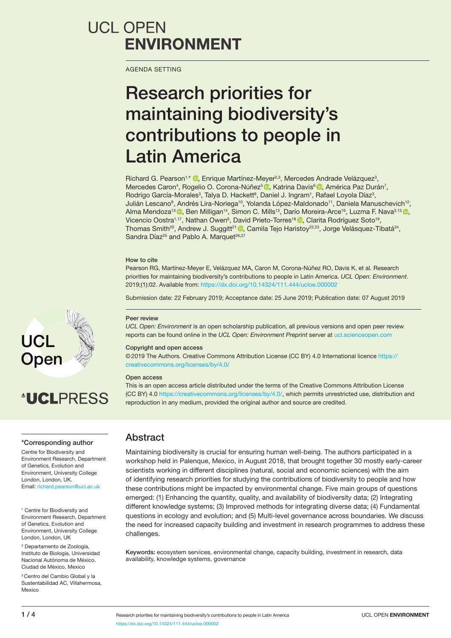## **UCL OPEN ENVIRONMENT**

AGENDA SETTING

# Research priorities for maintaining biodiversity's contributions to people in Latin America

Richard G. Pearson<sup>1[,](http://orcid.org/0000-0002-3458-0539)\*</sup> <sup>®</sup>, Enrique Martínez-Meyer<sup>2,3</sup>, Mercedes Andrade Velázquez<sup>3</sup>, MercedesCaron<sup>4</sup>, Rogelio O. Corona-Núñez<sup>s n</sup>o, Katrina Davis<sup>6</sup> no, América Paz Durán<sup>7</sup>, Rodrigo García-Morales<sup>3</sup>, Talya D. Hackett<sup>8</sup>, Daniel J. Ingram<sup>1</sup>, Rafael Loyola Díaz<sup>3</sup>, Julián Lescano<sup>9</sup>, Andrés Lira-Noriega<sup>10</sup>, Yolanda López-Maldonado<sup>11</sup>, Daniela Manuschevich<sup>12</sup>, AlmaMendoza<sup>13</sup><sup>o</sup>[,](http://orcid.org/0000-0003-4047-6006) Ben Milligan<sup>14</sup>, Simon C. Mills<sup>15</sup>, Darío Moreira-Arce<sup>16</sup>, Luzma F. Nava<sup>3,13</sup><sup>o</sup>, VicencioOostra<sup>1,17</sup>, Nathan Owen<sup>6</sup>, David Prieto-Torres<sup>18</sup> **D**, Clarita Rodríguez Soto<sup>19</sup>, Thomas Smith<sup>20</sup>, Andrew J. Suggitt<sup>21</sup> <sup>1</sup>, Camila Tejo Haristoy<sup>22,23</sup>, Jorge Velásquez-Tibatá<sup>24</sup>, Sandra Díaz<sup>25</sup> and Pablo A. Marquet<sup>26,27</sup>

#### How to cite

Pearson RG, Martínez-Meyer E, Velázquez MA, Caron M, Corona-Núñez RO, Davis K, et al. Research priorities for maintaining biodiversity's contributions to people in Latin America. *UCL Open: Environment*. 2019;(1):02. Available from:<https://dx.doi.org/10.14324/111.444/ucloe.000002>

Submission date: 22 February 2019; Acceptance date: 25 June 2019; Publication date: 07 August 2019

#### Peer review

*UCL Open: Environment* is an open scholarship publication, all previous versions and open peer review reports can be found online in the *UCL Open: Environment Preprint* server at [ucl.scienceopen.com](http://ucl.scienceopen.com)

#### Copyright and open access

©2019 The Authors. Creative Commons Attribution License (CC BY) 4.0 International licence [https://](https://creativecommons.org/licenses/by/4.0/) [creativecommons.org/licenses/by/4.0/](https://creativecommons.org/licenses/by/4.0/)

#### Open access

This is an open access article distributed under the terms of the Creative Commons Attribution License (CC BY) 4.0 [https://creativecommons.org/licenses/by/4.0/,](https://creativecommons.org/licenses/by/4.0/) which permits unrestricted use, distribution and reproduction in any medium, provided the original author and source are credited.

#### \*Corresponding author

Centre for Biodiversity and Environment Research, Department of Genetics, Evolution and Environment, University College London, London, UK. Email: [richard.pearson@ucl.ac.uk](mailto:richard.pearson@ucl.ac.uk)

<sup>1</sup> Centre for Biodiversity and Environment Research, Department of Genetics, Evolution and Environment, University College London, London, UK

2 Departamento de Zoología, Instituto de Biología, Universidad Nacional Autónoma de México, Ciudad de México, Mexico

<sup>3</sup> Centro del Cambio Global y la Sustentabilidad AC, Villahermosa, **Mexico** 

### Abstract

Maintaining biodiversity is crucial for ensuring human well-being. The authors participated in a workshop held in Palenque, Mexico, in August 2018, that brought together 30 mostly early-career scientists working in different disciplines (natural, social and economic sciences) with the aim of identifying research priorities for studying the contributions of biodiversity to people and how these contributions might be impacted by environmental change. Five main groups of questions emerged: (1) Enhancing the quantity, quality, and availability of biodiversity data; (2) Integrating different knowledge systems; (3) Improved methods for integrating diverse data; (4) Fundamental questions in ecology and evolution; and (5) Multi-level governance across boundaries. We discuss the need for increased capacity building and investment in research programmes to address these challenges.

Keywords: ecosystem services, environmental change, capacity building, investment in research, data availability, knowledge systems, governance



# **AUCLPRESS**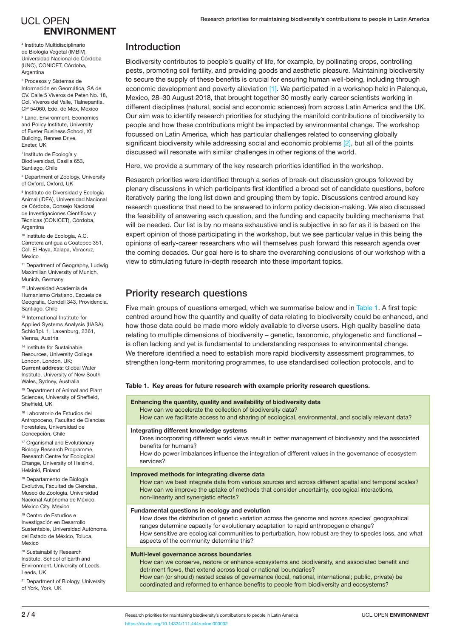## **UCL OPEN ENVIRONMENT**

4 Instituto Multidisciplinario de Biología Vegetal (IMBIV), Universidad Nacional de Córdoba (UNC), CONICET, Córdoba, Argentina

5 Procesos y Sistemas de Información en Geomática, SA de CV. Calle 5 Viveros de Peten No. 18, Col. Viveros del Valle, Tlalnepantla, CP 54060, Edo. de Mex, Mexico

6 Land, Environment, Economics and Policy Institute, University of Exeter Business School, Xfi Building, Rennes Drive, Exeter, UK

7 Instituto de Ecología y Biodiversidad, Casilla 653, Santiago, Chile

<sup>8</sup> Department of Zoology, University of Oxford, Oxford, UK

<sup>9</sup> Instituto de Diversidad y Ecología Animal (IDEA), Universidad Nacional de Córdoba, Consejo Nacional de Investigaciones Científicas y Técnicas (CONICET), Córdoba, Argentina

10 Instituto de Ecología, A.C. Carretera antigua a Coatepec 351, Col. El Haya, Xalapa, Veracruz, Mexico

11 Department of Geography, Ludwig Maximilian University of Munich, Munich, Germany

12 Universidad Academia de Humanismo Cristiano, Escuela de Geografía, Condell 343, Providencia. Santiago, Chile

13 International Institute for Applied Systems Analysis (IIASA), Schloßpl. 1, Laxenburg, 2361, Vienna, Austria

14 Institute for Sustainable Resources, University College London, London, UK; Current address: Global Water Institute, University of New South

Wales, Sydney, Australia 15 Department of Animal and Plant

Sciences, University of Sheffield, Sheffield, UK 16 Laboratorio de Estudios del

Antropoceno, Facultad de Ciencias Forestales, Universidad de Concepción, Chile

<sup>17</sup> Organismal and Evolutionary Biology Research Programme, Research Centre for Ecological Change, University of Helsinki, Helsinki, Finland

18 Departamento de Biología Evolutiva, Facultad de Ciencias, Museo de Zoología, Universidad Nacional Autónoma de México, México City, Mexico

19 Centro de Estudios e Investigación en Desarrollo Sustentable, Universidad Autónoma del Estado de México, Toluca, Mexico

20 Sustainability Research Institute, School of Earth and Environment, University of Leeds, Leeds, UK

<sup>21</sup> Department of Biology, University of York, York, UK

## Introduction

Biodiversity contributes to people's quality of life, for example, by pollinating crops, controlling pests, promoting soil fertility, and providing goods and aesthetic pleasure. Maintaining biodiversity to secure the supply of these benefits is crucial for ensuring human well-being, including through economic development and poverty alleviation [\[1\]](#page-3-0). We participated in a workshop held in Palenque, Mexico, 28–30 August 2018, that brought together 30 mostly early-career scientists working in different disciplines (natural, social and economic sciences) from across Latin America and the UK. Our aim was to identify research priorities for studying the manifold contributions of biodiversity to people and how these contributions might be impacted by environmental change. The workshop focussed on Latin America, which has particular challenges related to conserving globally significant biodiversity while addressing social and economic problems [\[2\]](#page-3-1), but all of the points discussed will resonate with similar challenges in other regions of the world.

Here, we provide a summary of the key research priorities identified in the workshop.

Research priorities were identified through a series of break-out discussion groups followed by plenary discussions in which participants first identified a broad set of candidate questions, before iteratively paring the long list down and grouping them by topic. Discussions centred around key research questions that need to be answered to inform policy decision-making. We also discussed the feasibility of answering each question, and the funding and capacity building mechanisms that will be needed. Our list is by no means exhaustive and is subjective in so far as it is based on the expert opinion of those participating in the workshop, but we see particular value in this being the opinions of early-career researchers who will themselves push forward this research agenda over the coming decades. Our goal here is to share the overarching conclusions of our workshop with a view to stimulating future in-depth research into these important topics.

## Priority research questions

Five main groups of questions emerged, which we summarise below and in [Table 1](#page-1-0). A first topic centred around how the quantity and quality of data relating to biodiversity could be enhanced, and how those data could be made more widely available to diverse users. High quality baseline data relating to multiple dimensions of biodiversity – genetic, taxonomic, phylogenetic and functional – is often lacking and yet is fundamental to understanding responses to environmental change. We therefore identified a need to establish more rapid biodiversity assessment programmes, to strengthen long-term monitoring programmes, to use standardised collection protocols, and to

#### <span id="page-1-0"></span>Table 1. Key areas for future research with example priority research questions.

#### Enhancing the quantity, quality and availability of biodiversity data

How can we accelerate the collection of biodiversity data?

How can we facilitate access to and sharing of ecological, environmental, and socially relevant data?

#### Integrating different knowledge systems

Does incorporating different world views result in better management of biodiversity and the associated benefits for humans?

How do power imbalances influence the integration of different values in the governance of ecosystem services?

#### Improved methods for integrating diverse data

How can we best integrate data from various sources and across different spatial and temporal scales? How can we improve the uptake of methods that consider uncertainty, ecological interactions, non-linearity and synergistic effects?

#### Fundamental questions in ecology and evolution

How does the distribution of genetic variation across the genome and across species' geographical ranges determine capacity for evolutionary adaptation to rapid anthropogenic change? How sensitive are ecological communities to perturbation, how robust are they to species loss, and what aspects of the community determine this?

#### Multi-level governance across boundaries

How can we conserve, restore or enhance ecosystems and biodiversity, and associated benefit and detriment flows, that extend across local or national boundaries?

How can (or should) nested scales of governance (local, national, international; public, private) be coordinated and reformed to enhance benefits to people from biodiversity and ecosystems?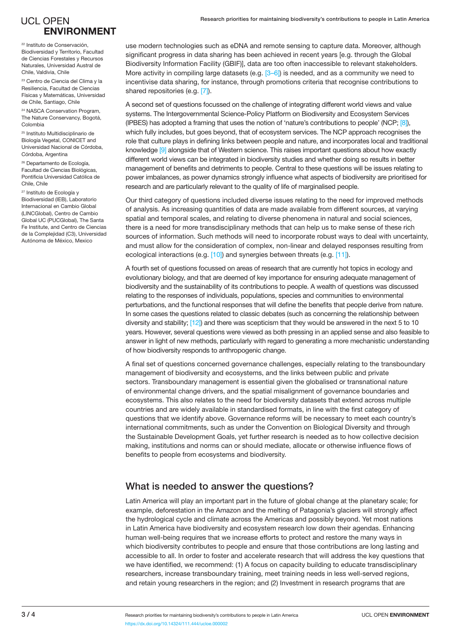## **UCL OPEN ENVIRONMENT**

22 Instituto de Conservación, Biodiversidad y Territorio, Facultad de Ciencias Forestales y Recursos Naturales, Universidad Austral de Chile, Valdivia, Chile

23 Centro de Ciencia del Clima y la Resiliencia, Facultad de Ciencias Físicas y Matemáticas, Universidad de Chile, Santiago, Chile

24 NASCA Conservation Program, The Nature Conservancy, Bogotá, Colombia

25 Instituto Multidisciplinario de Biología Vegetal, CONICET and Universidad Nacional de Córdoba, Córdoba, Argentina

26 Departamento de Ecología, Facultad de Ciencias Biológicas, Pontificia Universidad Católica de Chile, Chile

27 Instituto de Ecología y Biodiversidad (IEB), Laboratorio Internacional en Cambio Global (LINCGlobal), Centro de Cambio Global UC (PUCGlobal), The Santa Fe Institute, and Centro de Ciencias de la Complejidad (C3), Universidad Autónoma de México, Mexico

use modern technologies such as eDNA and remote sensing to capture data. Moreover, although significant progress in data sharing has been achieved in recent years [e.g. through the Global Biodiversity Information Facility (GBIF)], data are too often inaccessible to relevant stakeholders. More activity in compiling large datasets (e.g.  $[3-6]$  $[3-6]$  $[3-6]$  $[3-6]$ ) is needed, and as a community we need to incentivise data sharing, for instance, through promotions criteria that recognise contributions to shared repositories (e.g. [[7\]](#page-3-6)).

A second set of questions focussed on the challenge of integrating different world views and value systems. The Intergovernmental Science-Policy Platform on Biodiversity and Ecosystem Services (IPBES) has adopted a framing that uses the notion of 'nature's contributions to people' (NCP; [\[8\]\)](#page-3-7), which fully includes, but goes beyond, that of ecosystem services. The NCP approach recognises the role that culture plays in defining links between people and nature, and incorporates local and traditional knowledge [\[9\]](#page-3-8) alongside that of Western science. This raises important questions about how exactly different world views can be integrated in biodiversity studies and whether doing so results in better management of benefits and detriments to people. Central to these questions will be issues relating to power imbalances, as power dynamics strongly influence what aspects of biodiversity are prioritised for research and are particularly relevant to the quality of life of marginalised people.

Our third category of questions included diverse issues relating to the need for improved methods of analysis. As increasing quantities of data are made available from different sources, at varying spatial and temporal scales, and relating to diverse phenomena in natural and social sciences, there is a need for more transdisciplinary methods that can help us to make sense of these rich sources of information. Such methods will need to incorporate robust ways to deal with uncertainty, and must allow for the consideration of complex, non-linear and delayed responses resulting from ecological interactions (e.g. [\[10\]](#page-3-9)) and synergies between threats (e.g. [\[11\]\)](#page-3-10).

A fourth set of questions focussed on areas of research that are currently hot topics in ecology and evolutionary biology, and that are deemed of key importance for ensuring adequate management of biodiversity and the sustainability of its contributions to people. A wealth of questions was discussed relating to the responses of individuals, populations, species and communities to environmental perturbations, and the functional responses that will define the benefits that people derive from nature. In some cases the questions related to classic debates (such as concerning the relationship between diversity and stability; [\[12\]\)](#page-3-11) and there was scepticism that they would be answered in the next 5 to 10 years. However, several questions were viewed as both pressing in an applied sense and also feasible to answer in light of new methods, particularly with regard to generating a more mechanistic understanding of how biodiversity responds to anthropogenic change.

A final set of questions concerned governance challenges, especially relating to the transboundary management of biodiversity and ecosystems, and the links between public and private sectors. Transboundary management is essential given the globalised or transnational nature of environmental change drivers, and the spatial misalignment of governance boundaries and ecosystems. This also relates to the need for biodiversity datasets that extend across multiple countries and are widely available in standardised formats, in line with the first category of questions that we identify above. Governance reforms will be necessary to meet each country's international commitments, such as under the Convention on Biological Diversity and through the Sustainable Development Goals, yet further research is needed as to how collective decision making, institutions and norms can or should mediate, allocate or otherwise influence flows of benefits to people from ecosystems and biodiversity.

## What is needed to answer the questions?

Latin America will play an important part in the future of global change at the planetary scale; for example, deforestation in the Amazon and the melting of Patagonia's glaciers will strongly affect the hydrological cycle and climate across the Americas and possibly beyond. Yet most nations in Latin America have biodiversity and ecosystem research low down their agendas. Enhancing human well-being requires that we increase efforts to protect and restore the many ways in which biodiversity contributes to people and ensure that those contributions are long lasting and accessible to all. In order to foster and accelerate research that will address the key questions that we have identified, we recommend: (1) A focus on capacity building to educate transdisciplinary researchers, increase transboundary training, meet training needs in less well-served regions, and retain young researchers in the region; and (2) Investment in research programs that are